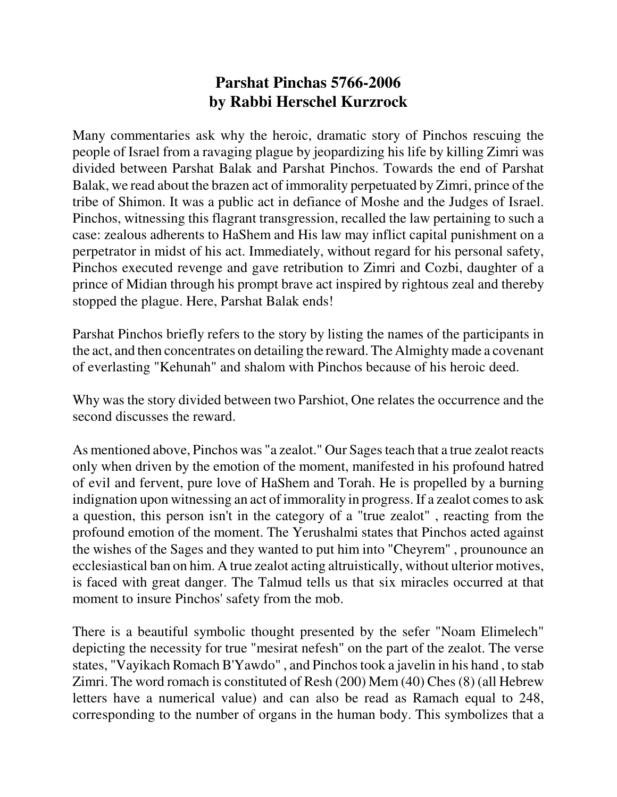## **Parshat Pinchas 5766-2006 by Rabbi Herschel Kurzrock**

Many commentaries ask why the heroic, dramatic story of Pinchos rescuing the people of Israel from a ravaging plague by jeopardizing his life by killing Zimri was divided between Parshat Balak and Parshat Pinchos. Towards the end of Parshat Balak, we read about the brazen act of immorality perpetuated by Zimri, prince of the tribe of Shimon. It was a public act in defiance of Moshe and the Judges of Israel. Pinchos, witnessing this flagrant transgression, recalled the law pertaining to such a case: zealous adherents to HaShem and His law may inflict capital punishment on a perpetrator in midst of his act. Immediately, without regard for his personal safety, Pinchos executed revenge and gave retribution to Zimri and Cozbi, daughter of a prince of Midian through his prompt brave act inspired by rightous zeal and thereby stopped the plague. Here, Parshat Balak ends!

Parshat Pinchos briefly refers to the story by listing the names of the participants in the act, and then concentrates on detailing the reward. The Almighty made a covenant of everlasting "Kehunah" and shalom with Pinchos because of his heroic deed.

Why was the story divided between two Parshiot, One relates the occurrence and the second discusses the reward.

As mentioned above, Pinchos was "a zealot." Our Sages teach that a true zealot reacts only when driven by the emotion of the moment, manifested in his profound hatred of evil and fervent, pure love of HaShem and Torah. He is propelled by a burning indignation upon witnessing an act of immorality in progress. If a zealot comes to ask a question, this person isn't in the category of a "true zealot" , reacting from the profound emotion of the moment. The Yerushalmi states that Pinchos acted against the wishes of the Sages and they wanted to put him into "Cheyrem" , prounounce an ecclesiastical ban on him. A true zealot acting altruistically, without ulterior motives, is faced with great danger. The Talmud tells us that six miracles occurred at that moment to insure Pinchos' safety from the mob.

There is a beautiful symbolic thought presented by the sefer "Noam Elimelech" depicting the necessity for true "mesirat nefesh" on the part of the zealot. The verse states, "Vayikach Romach B'Yawdo" , and Pinchos took a javelin in his hand , to stab Zimri. The word romach is constituted of Resh (200) Mem (40) Ches (8) (all Hebrew letters have a numerical value) and can also be read as Ramach equal to 248, corresponding to the number of organs in the human body. This symbolizes that a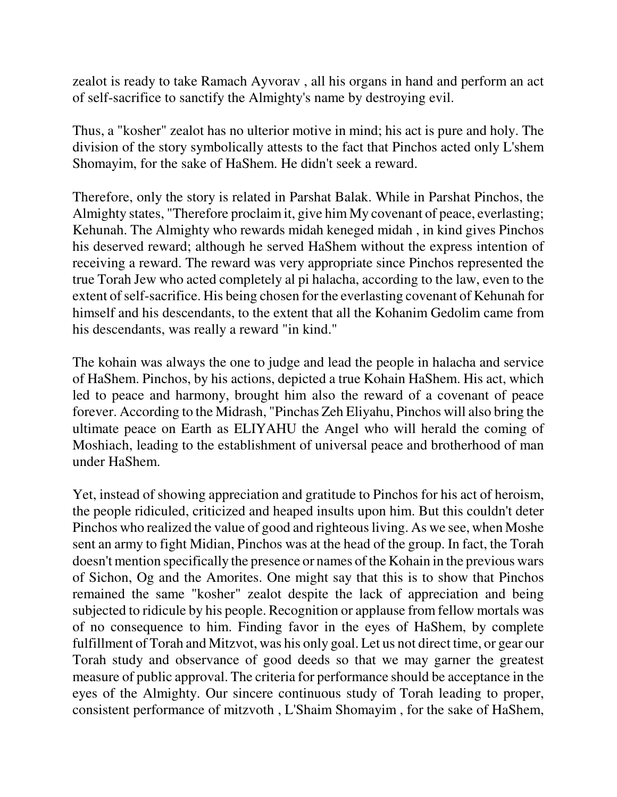zealot is ready to take Ramach Ayvorav , all his organs in hand and perform an act of self-sacrifice to sanctify the Almighty's name by destroying evil.

Thus, a "kosher" zealot has no ulterior motive in mind; his act is pure and holy. The division of the story symbolically attests to the fact that Pinchos acted only L'shem Shomayim, for the sake of HaShem. He didn't seek a reward.

Therefore, only the story is related in Parshat Balak. While in Parshat Pinchos, the Almighty states, "Therefore proclaim it, give him My covenant of peace, everlasting; Kehunah. The Almighty who rewards midah keneged midah , in kind gives Pinchos his deserved reward; although he served HaShem without the express intention of receiving a reward. The reward was very appropriate since Pinchos represented the true Torah Jew who acted completely al pi halacha, according to the law, even to the extent of self-sacrifice. His being chosen for the everlasting covenant of Kehunah for himself and his descendants, to the extent that all the Kohanim Gedolim came from his descendants, was really a reward "in kind."

The kohain was always the one to judge and lead the people in halacha and service of HaShem. Pinchos, by his actions, depicted a true Kohain HaShem. His act, which led to peace and harmony, brought him also the reward of a covenant of peace forever. According to the Midrash, "Pinchas Zeh Eliyahu, Pinchos will also bring the ultimate peace on Earth as ELIYAHU the Angel who will herald the coming of Moshiach, leading to the establishment of universal peace and brotherhood of man under HaShem.

Yet, instead of showing appreciation and gratitude to Pinchos for his act of heroism, the people ridiculed, criticized and heaped insults upon him. But this couldn't deter Pinchos who realized the value of good and righteous living. As we see, when Moshe sent an army to fight Midian, Pinchos was at the head of the group. In fact, the Torah doesn't mention specifically the presence or names of the Kohain in the previous wars of Sichon, Og and the Amorites. One might say that this is to show that Pinchos remained the same "kosher" zealot despite the lack of appreciation and being subjected to ridicule by his people. Recognition or applause from fellow mortals was of no consequence to him. Finding favor in the eyes of HaShem, by complete fulfillment of Torah and Mitzvot, was his only goal. Let us not direct time, or gear our Torah study and observance of good deeds so that we may garner the greatest measure of public approval. The criteria for performance should be acceptance in the eyes of the Almighty. Our sincere continuous study of Torah leading to proper, consistent performance of mitzvoth , L'Shaim Shomayim , for the sake of HaShem,